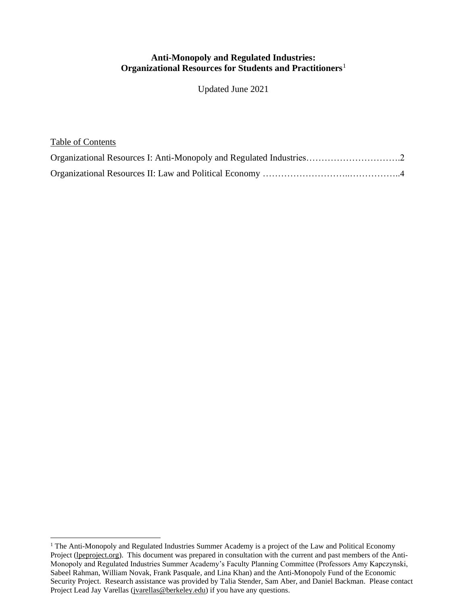#### **Anti-Monopoly and Regulated Industries: Organizational Resources for Students and Practitioners**<sup>1</sup>

Updated June 2021

| Table of Contents                                                   |  |
|---------------------------------------------------------------------|--|
| Organizational Resources I: Anti-Monopoly and Regulated Industries2 |  |
|                                                                     |  |

<sup>&</sup>lt;sup>1</sup> The Anti-Monopoly and Regulated Industries Summer Academy is a project of the Law and Political Economy Project [\(lpeproject.org\)](http://www.lpeproject.org/). This document was prepared in consultation with the current and past members of the Anti-Monopoly and Regulated Industries Summer Academy's Faculty Planning Committee (Professors Amy Kapczynski, Sabeel Rahman, William Novak, Frank Pasquale, and Lina Khan) and the Anti-Monopoly Fund of the Economic Security Project. Research assistance was provided by Talia Stender, Sam Aber, and Daniel Backman. Please contact Project Lead Jay Varellas [\(jvarellas@berkeley.edu\)](mailto:jvarellas@berkeley.edu) if you have any questions.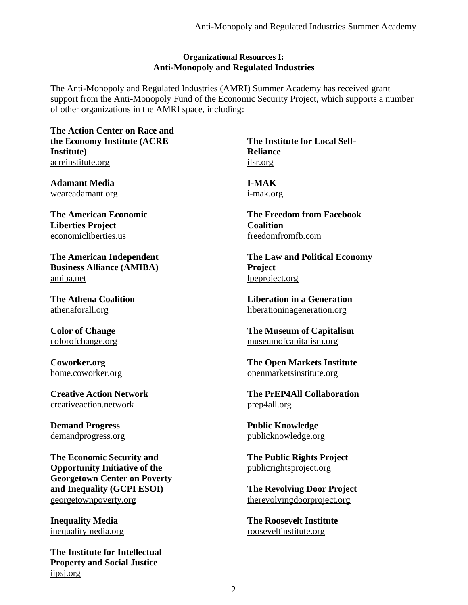#### **Organizational Resources I: Anti-Monopoly and Regulated Industries**

The Anti-Monopoly and Regulated Industries (AMRI) Summer Academy has received grant support from the [Anti-Monopoly Fund of the Economic Security Project,](https://www.economicsecurityproject.org/antimonopoly) which supports a number of other organizations in the AMRI space, including:

**The Action Center on Race and the Economy Institute (ACRE Institute)** [acreinstitute.org](https://www.acreinstitute.org/)

**Adamant Media** [weareadamant.org](https://weareadamant.org/)

**The American Economic Liberties Project** [economicliberties.us](https://www.economicliberties.us/)

**The American Independent Business Alliance (AMIBA)** [amiba.net](https://www.amiba.net/)

**The Athena Coalition** [athenaforall.org](https://athenaforall.org/)

**Color of Change** [colorofchange.org](https://colorofchange.org/)

**Coworker.org**  [home.coworker.org](https://home.coworker.org/)

**Creative Action Network**  [creativeaction.network](https://creativeaction.network/)

**Demand Progress** [demandprogress.org](https://demandprogress.org/)

**The Economic Security and Opportunity Initiative of the Georgetown Center on Poverty and Inequality (GCPI ESOI)** [georgetownpoverty.org](https://www.georgetownpoverty.org/)

**Inequality Media** [inequalitymedia.org](https://www.inequalitymedia.org/)

**The Institute for Intellectual Property and Social Justice** [iipsj.org](https://iipsj.org/)

**The Institute for Local Self-Reliance** [ilsr.org](https://ilsr.org/)

**I-MAK** [i-mak.org](https://www.i-mak.org/)

**The Freedom from Facebook Coalition** [freedomfromfb.com](http://www.freedomfromfb.com/)

**The Law and Political Economy Project** [lpeproject.org](http://www.lpeproject.org/)

**Liberation in a Generation** [liberationinageneration.org](https://www.liberationinageneration.org/)

**The Museum of Capitalism** [museumofcapitalism.org](https://www.museumofcapitalism.org/)

**The Open Markets Institute** [openmarketsinstitute.org](https://www.openmarketsinstitute.org/)

**The PrEP4All Collaboration** [prep4all.org](https://www.prep4all.org/our-story)

**Public Knowledge** [publicknowledge.org](https://www.publicknowledge.org/)

**The Public Rights Project** [publicrightsproject.org](https://www.publicrightsproject.org/)

**The Revolving Door Project** [therevolvingdoorproject.org](https://therevolvingdoorproject.org/)

**The Roosevelt Institute** [rooseveltinstitute.org](https://rooseveltinstitute.org/)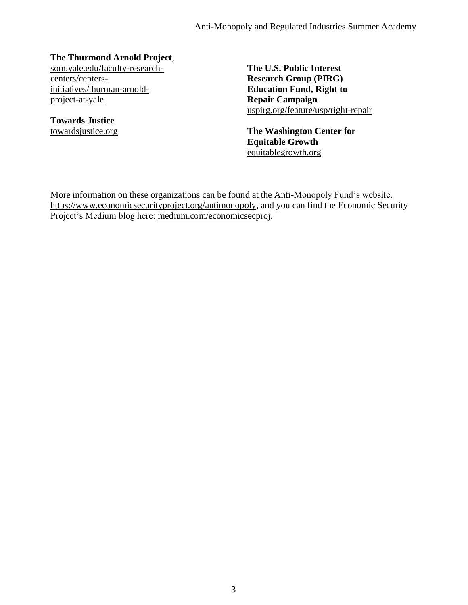#### **The Thurmond Arnold Project**,

[som.yale.edu/faculty-research](https://som.yale.edu/faculty-research-centers/centers-initiatives/thurman-arnold-project-at-yale)[centers/centers](https://som.yale.edu/faculty-research-centers/centers-initiatives/thurman-arnold-project-at-yale)[initiatives/thurman-arnold](https://som.yale.edu/faculty-research-centers/centers-initiatives/thurman-arnold-project-at-yale)[project-at-yale](https://som.yale.edu/faculty-research-centers/centers-initiatives/thurman-arnold-project-at-yale)

**Towards Justice** [towardsjustice.org](https://towardsjustice.org/)

**The U.S. Public Interest Research Group (PIRG) Education Fund, Right to Repair Campaign** [uspirg.org/feature/usp/right-repair](https://uspirg.org/feature/usp/right-repair)

**The Washington Center for Equitable Growth** [equitablegrowth.org](https://equitablegrowth.org/)

More information on these organizations can be found at the Anti-Monopoly Fund's website, [https://www.economicsecurityproject.org/antimonopoly,](https://www.economicsecurityproject.org/antimonopoly) and you can find the Economic Security Project's Medium blog here: [medium.com/economicsecproj.](https://medium.com/economicsecproj)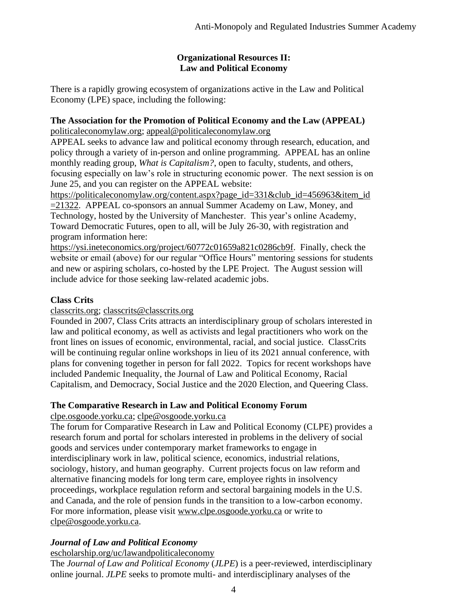### **Organizational Resources II: Law and Political Economy**

There is a rapidly growing ecosystem of organizations active in the Law and Political Economy (LPE) space, including the following:

# **The Association for the Promotion of Political Economy and the Law (APPEAL)**

[politicaleconomylaw.org;](https://www.politicaleconomylaw.org/) [appeal@politicaleconomylaw.org](mailto:appeal@politicaleconomylaw.org)

APPEAL seeks to advance law and political economy through research, education, and policy through a variety of in-person and online programming. APPEAL has an online monthly reading group, *What is Capitalism?*, open to faculty, students, and others, focusing especially on law's role in structuring economic power. The next session is on June 25, and you can register on the APPEAL website:

[https://politicaleconomylaw.org/content.aspx?page\\_id=331&club\\_id=456963&item\\_id](https://politicaleconomylaw.org/content.aspx?page_id=331&club_id=456963&item_id=21322)\_ [=21322.](https://politicaleconomylaw.org/content.aspx?page_id=331&club_id=456963&item_id=21322) APPEAL co-sponsors an annual Summer Academy on Law, Money, and Technology, hosted by the University of Manchester. This year's online Academy, Toward Democratic Futures, open to all, will be July 26-30, with registration and program information here:

[https://ysi.ineteconomics.org/project/60772c01659a821c0286cb9f.](https://ysi.ineteconomics.org/project/60772c01659a821c0286cb9f) Finally, check the website or email (above) for our regular "Office Hours" mentoring sessions for students and new or aspiring scholars, co-hosted by the LPE Project. The August session will include advice for those seeking law-related academic jobs.

# **Class Crits**

### [classcrits.org;](http://www.classcrits.org/) [classcrits@classcrits.org](mailto:classcrits@classcrits.org)

Founded in 2007, Class Crits attracts an interdisciplinary group of scholars interested in law and political economy, as well as activists and legal practitioners who work on the front lines on issues of economic, environmental, racial, and social justice. ClassCrits will be continuing regular online workshops in lieu of its 2021 annual conference, with plans for convening together in person for fall 2022. Topics for recent workshops have included Pandemic Inequality, the Journal of Law and Political Economy, Racial Capitalism, and Democracy, Social Justice and the 2020 Election, and Queering Class.

## **The Comparative Research in Law and Political Economy Forum**

[clpe.osgoode.yorku.ca;](https://clpe.osgoode.yorku.ca/) [clpe@osgoode.yorku.ca](mailto:clpe@osgoode.yorku.ca)

The forum for Comparative Research in Law and Political Economy (CLPE) provides a research forum and portal for scholars interested in problems in the delivery of social goods and services under contemporary market frameworks to engage in interdisciplinary work in law, political science, economics, industrial relations, sociology, history, and human geography. Current projects focus on law reform and alternative financing models for long term care, employee rights in insolvency proceedings, workplace regulation reform and sectoral bargaining models in the U.S. and Canada, and the role of pension funds in the transition to a low-carbon economy. For more information, please visit [www.clpe.osgoode.yorku.ca](http://www.clpe.osgoode.yorku.ca/) or write to [clpe@osgoode.yorku.ca.](mailto:clpe@osgoode.yorku.ca)

# *Journal of Law and Political Economy*

## [escholarship.org/uc/lawandpoliticaleconomy](https://escholarship.org/uc/lawandpoliticaleconomy/about)

The *Journal of Law and Political Economy* (*JLPE*) is a peer-reviewed, interdisciplinary online journal. *JLPE* seeks to promote multi- and interdisciplinary analyses of the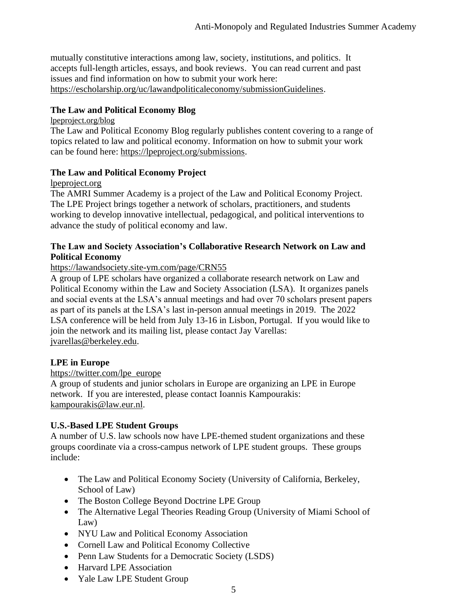mutually constitutive interactions among law, society, institutions, and politics. It accepts full-length articles, essays, and book reviews. You can read current and past issues and find information on how to submit your work here: [https://escholarship.org/uc/lawandpoliticaleconomy/submissionGuidelines.](https://escholarship.org/uc/lawandpoliticaleconomy/submissionGuidelines)

### **The Law and Political Economy Blog**

[lpeproject.org/blog](https://lpeproject.org/blog/)

The Law and Political Economy Blog regularly publishes content covering to a range of topics related to law and political economy. Information on how to submit your work can be found here: [https://lpeproject.org/submissions.](https://lpeproject.org/submissions)

### **The Law and Political Economy Project**

lpeproject.org

The AMRI Summer Academy is a project of the Law and Political Economy Project. The LPE Project brings together a network of scholars, practitioners, and students working to develop innovative intellectual, pedagogical, and political interventions to advance the study of political economy and law.

### **The Law and Society Association's Collaborative Research Network on Law and Political Economy**

<https://lawandsociety.site-ym.com/page/CRN55>

A group of LPE scholars have organized a collaborate research network on Law and Political Economy within the Law and Society Association (LSA). It organizes panels and social events at the LSA's annual meetings and had over 70 scholars present papers as part of its panels at the LSA's last in-person annual meetings in 2019. The 2022 LSA conference will be held from July 13-16 in Lisbon, Portugal. If you would like to join the network and its mailing list, please contact Jay Varellas: [jvarellas@berkeley.edu.](mailto:jvarellas@berkeley.edu)

### **LPE in Europe**

### [https://twitter.com/lpe\\_europe](https://twitter.com/lpe_europe?lang=en)

A group of students and junior scholars in Europe are organizing an LPE in Europe network. If you are interested, please contact Ioannis Kampourakis: [kampourakis@law.eur.nl.](mailto:kampourakis@law.eur.nl)

### **U.S.-Based LPE Student Groups**

A number of U.S. law schools now have LPE-themed student organizations and these groups coordinate via a cross-campus network of LPE student groups. These groups include:

- The Law and Political Economy Society (University of California, Berkeley, School of Law)
- The Boston College Beyond Doctrine LPE Group
- The Alternative Legal Theories Reading Group (University of Miami School of Law)
- NYU Law and Political Economy Association
- Cornell Law and Political Economy Collective
- Penn Law Students for a Democratic Society (LSDS)
- Harvard LPE Association
- Yale Law LPE Student Group